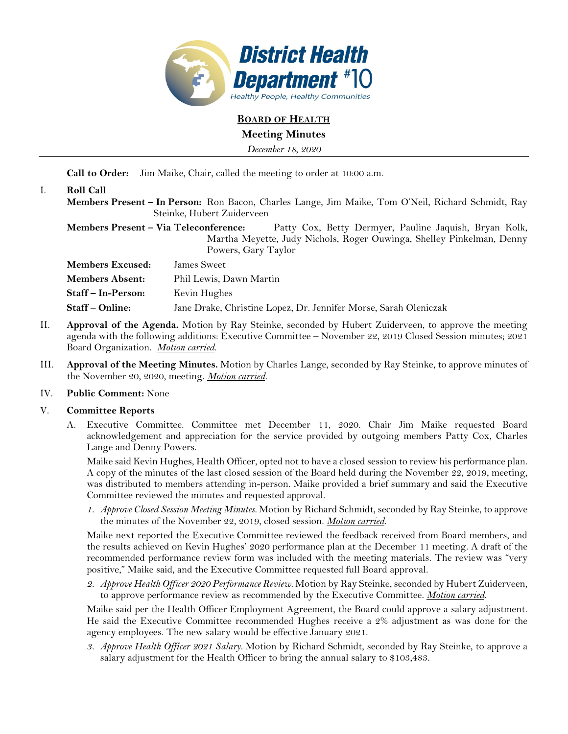

**BOARD OF HEALTH**

# **Meeting Minutes**

*December 18, 2020* 

**Call to Order:** Jim Maike, Chair, called the meeting to order at 10:00 a.m.

# I. **Roll Call**

**Members Present – In Person:** Ron Bacon, Charles Lange, Jim Maike, Tom O'Neil, Richard Schmidt, Ray Steinke, Hubert Zuiderveen

**Members Present – Via Teleconference:** Patty Cox, Betty Dermyer, Pauline Jaquish, Bryan Kolk, Martha Meyette, Judy Nichols, Roger Ouwinga, Shelley Pinkelman, Denny Powers, Gary Taylor

**Members Excused:** James Sweet **Members Absent:** Phil Lewis, Dawn Martin **Staff – In-Person:** Kevin Hughes **Staff – Online:** Jane Drake, Christine Lopez, Dr. Jennifer Morse, Sarah Oleniczak

- II. **Approval of the Agenda.** Motion by Ray Steinke, seconded by Hubert Zuiderveen, to approve the meeting agenda with the following additions: Executive Committee – November 22, 2019 Closed Session minutes; 2021 Board Organization. *Motion carried.*
- III. **Approval of the Meeting Minutes.** Motion by Charles Lange, seconded by Ray Steinke, to approve minutes of the November 20, 2020, meeting. *Motion carried.*

# IV. **Public Comment:** None

# V. **Committee Reports**

A. Executive Committee. Committee met December 11, 2020. Chair Jim Maike requested Board acknowledgement and appreciation for the service provided by outgoing members Patty Cox, Charles Lange and Denny Powers.

Maike said Kevin Hughes, Health Officer, opted not to have a closed session to review his performance plan. A copy of the minutes of the last closed session of the Board held during the November 22, 2019, meeting, was distributed to members attending in-person. Maike provided a brief summary and said the Executive Committee reviewed the minutes and requested approval.

*1. Approve Closed Session Meeting Minutes.* Motion by Richard Schmidt, seconded by Ray Steinke, to approve the minutes of the November 22, 2019, closed session. *Motion carried.*

Maike next reported the Executive Committee reviewed the feedback received from Board members, and the results achieved on Kevin Hughes' 2020 performance plan at the December 11 meeting. A draft of the recommended performance review form was included with the meeting materials. The review was "very positive," Maike said, and the Executive Committee requested full Board approval.

*2. Approve Health Officer 2020 Performance Review.* Motion by Ray Steinke, seconded by Hubert Zuiderveen, to approve performance review as recommended by the Executive Committee. *Motion carried.*

Maike said per the Health Officer Employment Agreement, the Board could approve a salary adjustment. He said the Executive Committee recommended Hughes receive a 2% adjustment as was done for the agency employees. The new salary would be effective January 2021.

*3. Approve Health Officer 2021 Salary.* Motion by Richard Schmidt, seconded by Ray Steinke, to approve a salary adjustment for the Health Officer to bring the annual salary to \$103,483.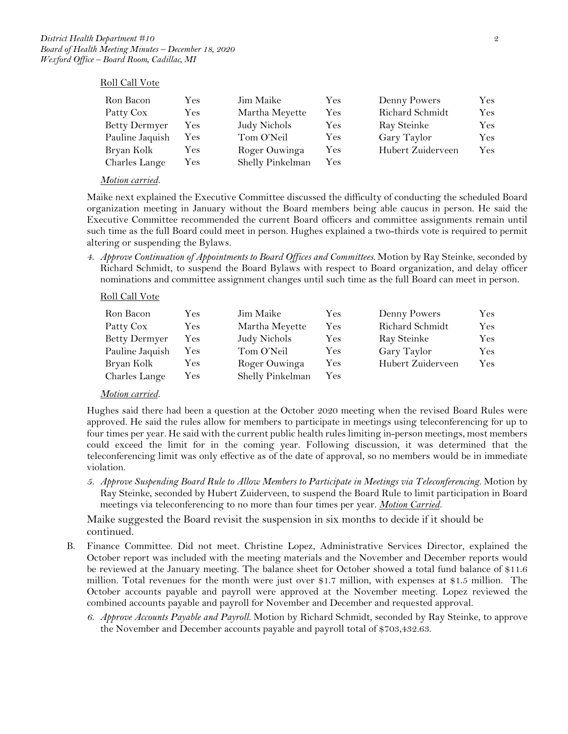#### Roll Call Vote

| Ron Bacon            | Yes | Jim Maike        | Yes | Denny Powers      | Yes. |
|----------------------|-----|------------------|-----|-------------------|------|
| Patty Cox            | Yes | Martha Meyette   | Yes | Richard Schmidt   | Yes  |
| <b>Betty Dermyer</b> | Yes | Judy Nichols     | Yes | Ray Steinke       | Yes: |
| Pauline Jaquish      | Yes | Tom O'Neil       | Yes | Gary Taylor       | Yes  |
| Bryan Kolk           | Yes | Roger Ouwinga    | Yes | Hubert Zuiderveen | Yes  |
| Charles Lange        | Yes | Shelly Pinkelman | Yes |                   |      |

#### *Motion carried.*

Maike next explained the Executive Committee discussed the difficulty of conducting the scheduled Board organization meeting in January without the Board members being able caucus in person. He said the Executive Committee recommended the current Board officers and committee assignments remain until such time as the full Board could meet in person. Hughes explained a two-thirds vote is required to permit altering or suspending the Bylaws.

*4. Approve Continuation of Appointments to Board Offices and Committees.* Motion by Ray Steinke, seconded by Richard Schmidt, to suspend the Board Bylaws with respect to Board organization, and delay officer nominations and committee assignment changes until such time as the full Board can meet in person.

#### Roll Call Vote

| Ron Bacon            | Yes | Jim Maike        | Yes | Denny Powers      | Yes                  |
|----------------------|-----|------------------|-----|-------------------|----------------------|
| Patty Cox            | Yes | Martha Meyette   | Yes | Richard Schmidt   | $\operatorname{Yes}$ |
| <b>Betty Dermyer</b> | Yes | Judy Nichols     | Yes | Ray Steinke       | Yes                  |
| Pauline Jaquish      | Yes | Tom O'Neil       | Yes | Gary Taylor       | Yes                  |
| Bryan Kolk           | Yes | Roger Ouwinga    | Yes | Hubert Zuiderveen | Yes                  |
| Charles Lange        | Yes | Shelly Pinkelman | Yes |                   |                      |

#### *Motion carried.*

Hughes said there had been a question at the October 2020 meeting when the revised Board Rules were approved. He said the rules allow for members to participate in meetings using teleconferencing for up to four times per year. He said with the current public health rules limiting in-person meetings, most members could exceed the limit for in the coming year. Following discussion, it was determined that the teleconferencing limit was only effective as of the date of approval, so no members would be in immediate violation.

*5. Approve Suspending Board Rule to Allow Members to Participate in Meetings via Teleconferencing.* Motion by Ray Steinke, seconded by Hubert Zuiderveen, to suspend the Board Rule to limit participation in Board meetings via teleconferencing to no more than four times per year. *Motion Carried.* 

Maike suggested the Board revisit the suspension in six months to decide if it should be continued.

- B. Finance Committee. Did not meet. Christine Lopez, Administrative Services Director, explained the October report was included with the meeting materials and the November and December reports would be reviewed at the January meeting. The balance sheet for October showed a total fund balance of \$11.6 million. Total revenues for the month were just over \$1.7 million, with expenses at \$1.5 million. The October accounts payable and payroll were approved at the November meeting. Lopez reviewed the combined accounts payable and payroll for November and December and requested approval.
	- *6. Approve Accounts Payable and Payroll.* Motion by Richard Schmidt, seconded by Ray Steinke, to approve the November and December accounts payable and payroll total of \$703,432.63.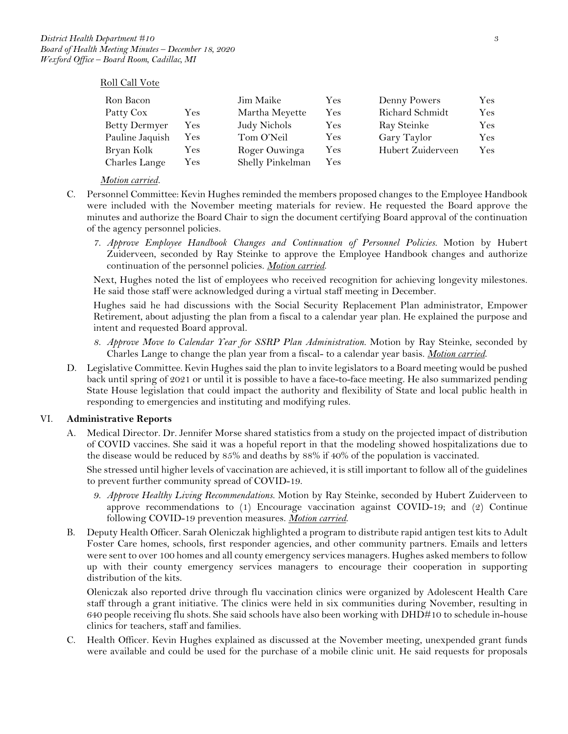#### Roll Call Vote

| Ron Bacon            |     | Jim Maike        | Yes        | Denny Powers      | Yes |
|----------------------|-----|------------------|------------|-------------------|-----|
| Patty Cox            | Yes | Martha Meyette   | Yes        | Richard Schmidt   | Yes |
| <b>Betty Dermyer</b> | Yes | Judy Nichols     | Yes        | Ray Steinke       | Yes |
| Pauline Jaquish      | Yes | Tom O'Neil       | Yes        | Gary Taylor       | Yes |
| Bryan Kolk           | Yes | Roger Ouwinga    | Yes        | Hubert Zuiderveen | Yes |
| Charles Lange        | Yes | Shelly Pinkelman | <b>Yes</b> |                   |     |

### *Motion carried.*

- C. Personnel Committee: Kevin Hughes reminded the members proposed changes to the Employee Handbook were included with the November meeting materials for review. He requested the Board approve the minutes and authorize the Board Chair to sign the document certifying Board approval of the continuation of the agency personnel policies.
	- *7. Approve Employee Handbook Changes and Continuation of Personnel Policies.* Motion by Hubert Zuiderveen, seconded by Ray Steinke to approve the Employee Handbook changes and authorize continuation of the personnel policies. *Motion carried*.

Next, Hughes noted the list of employees who received recognition for achieving longevity milestones. He said those staff were acknowledged during a virtual staff meeting in December.

Hughes said he had discussions with the Social Security Replacement Plan administrator, Empower Retirement, about adjusting the plan from a fiscal to a calendar year plan. He explained the purpose and intent and requested Board approval.

- *8. Approve Move to Calendar Year for SSRP Plan Administration.* Motion by Ray Steinke, seconded by Charles Lange to change the plan year from a fiscal- to a calendar year basis. *Motion carried*.
- D. Legislative Committee. Kevin Hughes said the plan to invite legislators to a Board meeting would be pushed back until spring of 2021 or until it is possible to have a face-to-face meeting. He also summarized pending State House legislation that could impact the authority and flexibility of State and local public health in responding to emergencies and instituting and modifying rules.

#### VI. **Administrative Reports**

A. Medical Director. Dr. Jennifer Morse shared statistics from a study on the projected impact of distribution of COVID vaccines. She said it was a hopeful report in that the modeling showed hospitalizations due to the disease would be reduced by 85% and deaths by 88% if 40% of the population is vaccinated.

She stressed until higher levels of vaccination are achieved, it is still important to follow all of the guidelines to prevent further community spread of COVID-19.

- *9. Approve Healthy Living Recommendations.* Motion by Ray Steinke, seconded by Hubert Zuiderveen to approve recommendations to (1) Encourage vaccination against COVID-19; and (2) Continue following COVID-19 prevention measures. *Motion carried*.
- B. Deputy Health Officer. Sarah Oleniczak highlighted a program to distribute rapid antigen test kits to Adult Foster Care homes, schools, first responder agencies, and other community partners. Emails and letters were sent to over 100 homes and all county emergency services managers. Hughes asked members to follow up with their county emergency services managers to encourage their cooperation in supporting distribution of the kits.

Oleniczak also reported drive through flu vaccination clinics were organized by Adolescent Health Care staff through a grant initiative. The clinics were held in six communities during November, resulting in 640 people receiving flu shots. She said schools have also been working with DHD#10 to schedule in-house clinics for teachers, staff and families.

C. Health Officer. Kevin Hughes explained as discussed at the November meeting, unexpended grant funds were available and could be used for the purchase of a mobile clinic unit. He said requests for proposals